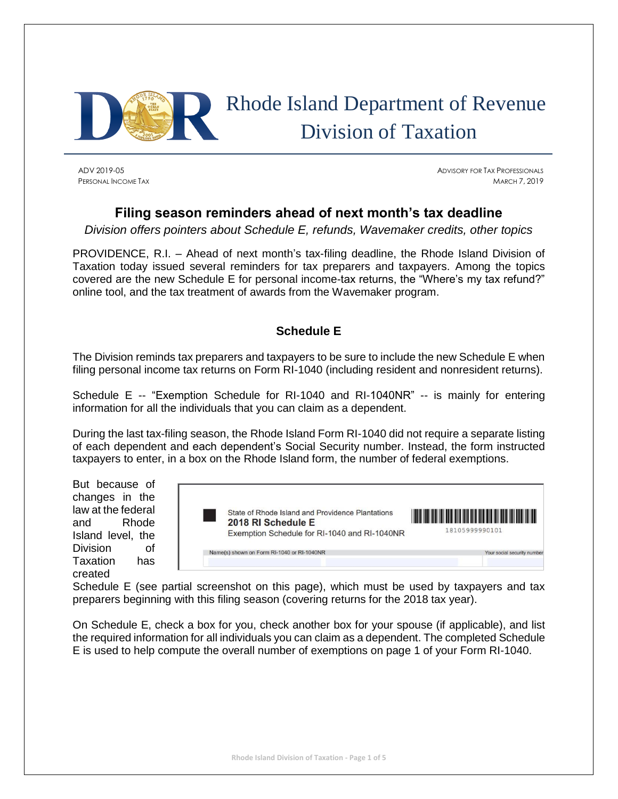

# Rhode Island Department of Revenue Division of Taxation

ADV 2019-05 ADVISORY FOR TAX PROFESSIONALS PERSONAL INCOME TAX MARCH 7, 2019

## **Filing season reminders ahead of next month's tax deadline**

*Division offers pointers about Schedule E, refunds, Wavemaker credits, other topics*

PROVIDENCE, R.I. – Ahead of next month's tax-filing deadline, the Rhode Island Division of Taxation today issued several reminders for tax preparers and taxpayers. Among the topics covered are the new Schedule E for personal income-tax returns, the "Where's my tax refund?" online tool, and the tax treatment of awards from the Wavemaker program.

## **Schedule E**

The Division reminds tax preparers and taxpayers to be sure to include the new Schedule E when filing personal income tax returns on Form RI-1040 (including resident and nonresident returns).

Schedule E -- "Exemption Schedule for RI-1040 and RI-1040NR" -- is mainly for entering information for all the individuals that you can claim as a dependent.

During the last tax-filing season, the Rhode Island Form RI-1040 did not require a separate listing of each dependent and each dependent's Social Security number. Instead, the form instructed taxpayers to enter, in a box on the Rhode Island form, the number of federal exemptions.

But because of changes in the law at the federal and Rhode Island level, the Division of Taxation has created



Schedule E (see partial screenshot on this page), which must be used by taxpayers and tax preparers beginning with this filing season (covering returns for the 2018 tax year).

On Schedule E, check a box for you, check another box for your spouse (if applicable), and list the required information for all individuals you can claim as a dependent. The completed Schedule E is used to help compute the overall number of exemptions on page 1 of your Form RI-1040.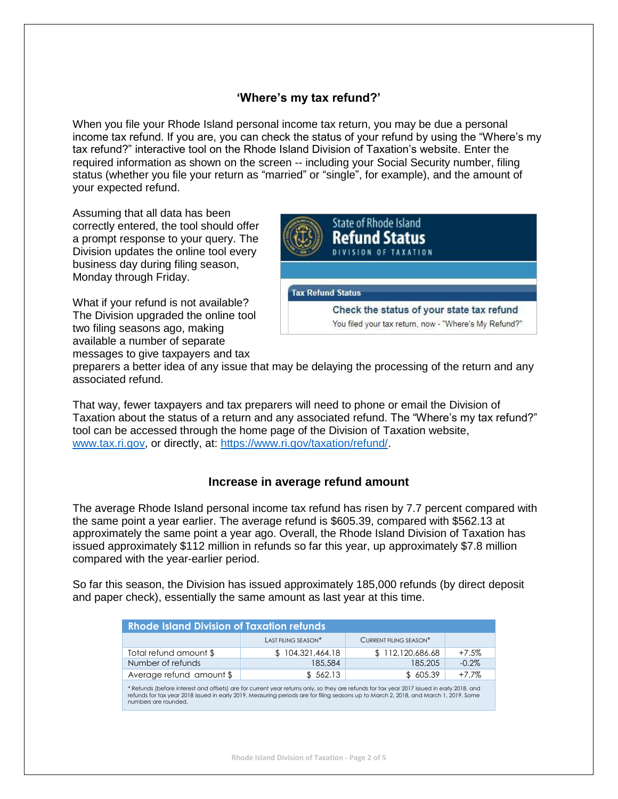#### **'Where's my tax refund?'**

When you file your Rhode Island personal income tax return, you may be due a personal income tax refund. If you are, you can check the status of your refund by using the "Where's my tax refund?" interactive tool on the Rhode Island Division of Taxation's website. Enter the required information as shown on the screen -- including your Social Security number, filing status (whether you file your return as "married" or "single", for example), and the amount of your expected refund.

Assuming that all data has been correctly entered, the tool should offer a prompt response to your query. The Division updates the online tool every business day during filing season, Monday through Friday.

What if your refund is not available? The Division upgraded the online tool two filing seasons ago, making available a number of separate messages to give taxpayers and tax



preparers a better idea of any issue that may be delaying the processing of the return and any associated refund.

That way, fewer taxpayers and tax preparers will need to phone or email the Division of Taxation about the status of a return and any associated refund. The "Where's my tax refund?" tool can be accessed through the home page of the Division of Taxation website, [www.tax.ri.gov,](http://www.tax.ri.gov/) or directly, at: [https://www.ri.gov/taxation/refund/.](https://www.ri.gov/taxation/refund/)

#### **Increase in average refund amount**

The average Rhode Island personal income tax refund has risen by 7.7 percent compared with the same point a year earlier. The average refund is \$605.39, compared with \$562.13 at approximately the same point a year ago. Overall, the Rhode Island Division of Taxation has issued approximately \$112 million in refunds so far this year, up approximately \$7.8 million compared with the year-earlier period.

So far this season, the Division has issued approximately 185,000 refunds (by direct deposit and paper check), essentially the same amount as last year at this time.

| <b>Rhode Island Division of Taxation refunds</b>                                                                                                                                                                                                                                                            |                     |                               |          |  |  |
|-------------------------------------------------------------------------------------------------------------------------------------------------------------------------------------------------------------------------------------------------------------------------------------------------------------|---------------------|-------------------------------|----------|--|--|
|                                                                                                                                                                                                                                                                                                             | LAST FILING SEASON* | <b>CURRENT FILING SEASON*</b> |          |  |  |
| Total refund amount \$                                                                                                                                                                                                                                                                                      | \$104,321,464.18    | \$112,120,686.68              | $+7.5%$  |  |  |
| Number of refunds                                                                                                                                                                                                                                                                                           | 185,584             | 185,205                       | $-0.2\%$ |  |  |
| Average refund amount \$                                                                                                                                                                                                                                                                                    | \$562.13            | \$605.39                      | $+7.7%$  |  |  |
| * Refunds (before interest and offsets) are for current year returns only, so they are refunds for tax year 2017 issued in early 2018, and<br>refunds for tax year 2018 issued in early 2019. Measuring periods are for filing seasons up to March 2, 2018, and March 1, 2019. Some<br>numbers are rounded. |                     |                               |          |  |  |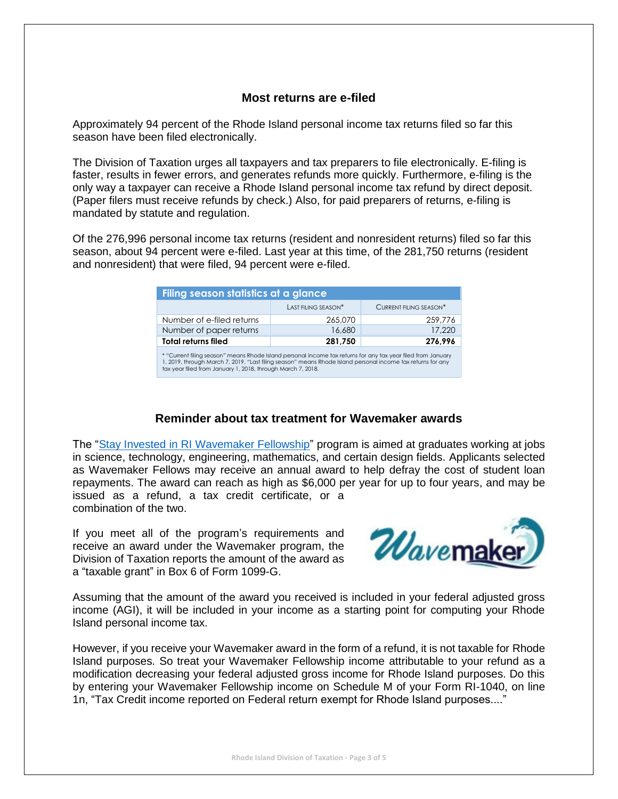#### **Most returns are e-filed**

Approximately 94 percent of the Rhode Island personal income tax returns filed so far this season have been filed electronically.

The Division of Taxation urges all taxpayers and tax preparers to file electronically. E-filing is faster, results in fewer errors, and generates refunds more quickly. Furthermore, e-filing is the only way a taxpayer can receive a Rhode Island personal income tax refund by direct deposit. (Paper filers must receive refunds by check.) Also, for paid preparers of returns, e-filing is mandated by statute and regulation.

Of the 276,996 personal income tax returns (resident and nonresident returns) filed so far this season, about 94 percent were e-filed. Last year at this time, of the 281,750 returns (resident and nonresident) that were filed, 94 percent were e-filed.

| Filing season statistics at a glance                                                                                                                                                                                                                                                       |                     |                        |  |  |  |
|--------------------------------------------------------------------------------------------------------------------------------------------------------------------------------------------------------------------------------------------------------------------------------------------|---------------------|------------------------|--|--|--|
|                                                                                                                                                                                                                                                                                            | LAST FILING SEASON* | CURRENT FILING SEASON* |  |  |  |
| Number of e-filed returns                                                                                                                                                                                                                                                                  | 265,070             | 259,776                |  |  |  |
| Number of paper returns                                                                                                                                                                                                                                                                    | 16,680              | 17,220                 |  |  |  |
| <b>Total returns filed</b>                                                                                                                                                                                                                                                                 | 281,750             | 276,996                |  |  |  |
| * "Current filing season" means Rhode Island personal income tax returns for any tax year filed from January<br>1, 2019, through March 7, 2019. "Last filing season" means Rhode Island personal income tax returns for any<br>tax year filed from January 1, 2018, through March 7, 2018. |                     |                        |  |  |  |

#### **Reminder about tax treatment for Wavemaker awards**

The ["Stay Invested in RI Wavemaker Fellowship"](https://wavemaker.commerceri.com/) program is aimed at graduates working at jobs in science, technology, engineering, mathematics, and certain design fields. Applicants selected as Wavemaker Fellows may receive an annual award to help defray the cost of student loan repayments. The award can reach as high as \$6,000 per year for up to four years, and may be issued as a refund, a tax credit certificate, or a combination of the two.

If you meet all of the program's requirements and receive an award under the Wavemaker program, the Division of Taxation reports the amount of the award as a "taxable grant" in Box 6 of Form 1099-G.



Assuming that the amount of the award you received is included in your federal adjusted gross income (AGI), it will be included in your income as a starting point for computing your Rhode Island personal income tax.

However, if you receive your Wavemaker award in the form of a refund, it is not taxable for Rhode Island purposes. So treat your Wavemaker Fellowship income attributable to your refund as a modification decreasing your federal adjusted gross income for Rhode Island purposes. Do this by entering your Wavemaker Fellowship income on Schedule M of your Form RI-1040, on line 1n, "Tax Credit income reported on Federal return exempt for Rhode Island purposes...."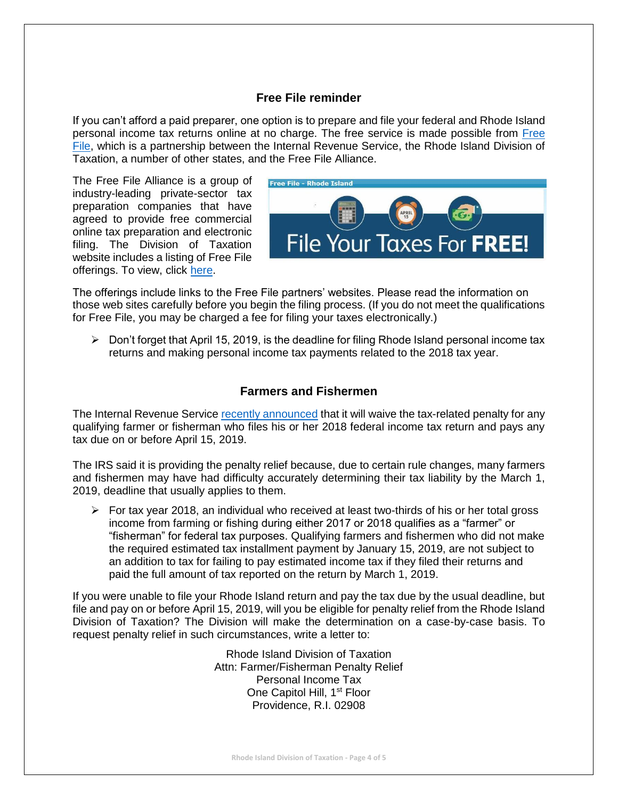#### **Free File reminder**

If you can't afford a paid preparer, one option is to prepare and file your federal and Rhode Island personal income tax returns online at no charge. The free service is made possible from [Free](http://www.tax.ri.gov/misc/efile.php)  [File,](http://www.tax.ri.gov/misc/efile.php) which is a partnership between the Internal Revenue Service, the Rhode Island Division of Taxation, a number of other states, and the Free File Alliance.

The Free File Alliance is a group of industry-leading private-sector tax preparation companies that have agreed to provide free commercial online tax preparation and electronic filing. The Division of Taxation website includes a listing of Free File offerings. To view, click [here.](http://www.tax.ri.gov/misc/efile.php)



The offerings include links to the Free File partners' websites. Please read the information on those web sites carefully before you begin the filing process. (If you do not meet the qualifications for Free File, you may be charged a fee for filing your taxes electronically.)

 $\triangleright$  Don't forget that April 15, 2019, is the deadline for filing Rhode Island personal income tax returns and making personal income tax payments related to the 2018 tax year.

#### **Farmers and Fishermen**

The Internal Revenue Service [recently announced](https://www.irs.gov/newsroom/irs-waives-estimated-tax-penalty-for-farmers-fishermen-who-file-returns-and-pay-tax-by-april-15) that it will waive the tax-related penalty for any qualifying farmer or fisherman who files his or her 2018 federal income tax return and pays any tax due on or before April 15, 2019.

The IRS said it is providing the penalty relief because, due to certain rule changes, many farmers and fishermen may have had difficulty accurately determining their tax liability by the March 1, 2019, deadline that usually applies to them.

 $\triangleright$  For tax year 2018, an individual who received at least two-thirds of his or her total gross income from farming or fishing during either 2017 or 2018 qualifies as a "farmer" or "fisherman" for federal tax purposes. Qualifying farmers and fishermen who did not make the required estimated tax installment payment by January 15, 2019, are not subject to an addition to tax for failing to pay estimated income tax if they filed their returns and paid the full amount of tax reported on the return by March 1, 2019.

If you were unable to file your Rhode Island return and pay the tax due by the usual deadline, but file and pay on or before April 15, 2019, will you be eligible for penalty relief from the Rhode Island Division of Taxation? The Division will make the determination on a case-by-case basis. To request penalty relief in such circumstances, write a letter to:

> Rhode Island Division of Taxation Attn: Farmer/Fisherman Penalty Relief Personal Income Tax One Capitol Hill, 1<sup>st</sup> Floor Providence, R.I. 02908